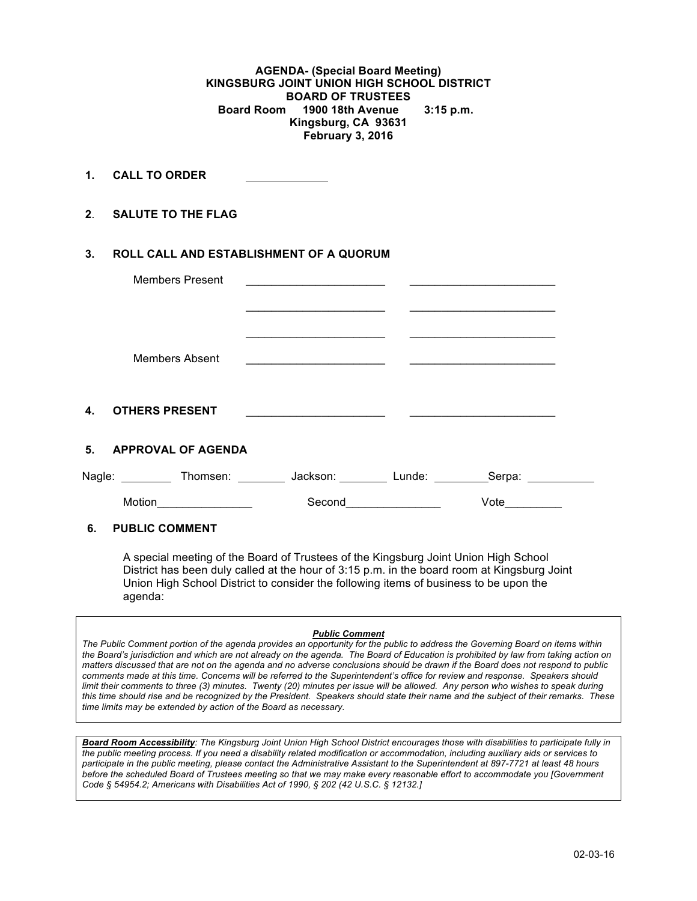**AGENDA- (Special Board Meeting) KINGSBURG JOINT UNION HIGH SCHOOL DISTRICT BOARD OF TRUSTEES Board Room 1900 18th Avenue 3:15 p.m. Kingsburg, CA 93631 February 3, 2016**

**1. CALL TO ORDER** 

**2**. **SALUTE TO THE FLAG**

### **3. ROLL CALL AND ESTABLISHMENT OF A QUORUM**

| <b>Members Present</b>                | <u>experimental property of the contract of the contract of the contract of the contract of the contract of the con</u> |                                                                                                                                                                                                                                      |        |  |
|---------------------------------------|-------------------------------------------------------------------------------------------------------------------------|--------------------------------------------------------------------------------------------------------------------------------------------------------------------------------------------------------------------------------------|--------|--|
|                                       |                                                                                                                         |                                                                                                                                                                                                                                      |        |  |
| <b>Members Absent</b>                 | the control of the control of the control of the control of the control of the control of                               |                                                                                                                                                                                                                                      |        |  |
| $\mathbf{4}$<br><b>OTHERS PRESENT</b> | <u> 1989 - Johann John Stone, markin fan de Frysk kampen oant it ferskearre fan de ferskearre fan de ferskearre f</u>   |                                                                                                                                                                                                                                      |        |  |
| 5.<br><b>APPROVAL OF AGENDA</b>       |                                                                                                                         |                                                                                                                                                                                                                                      |        |  |
| Nagle:<br><b>Example Thomsen:</b>     | Jackson:                                                                                                                | Lunde:                                                                                                                                                                                                                               | Serpa: |  |
| Motion                                | Second                                                                                                                  | <u>and the state of the state of the state of the state of the state of the state of the state of the state of the state of the state of the state of the state of the state of the state of the state of the state of the state</u> | Vote   |  |
| _____________________                 |                                                                                                                         |                                                                                                                                                                                                                                      |        |  |

# **6. PUBLIC COMMENT**

A special meeting of the Board of Trustees of the Kingsburg Joint Union High School District has been duly called at the hour of 3:15 p.m. in the board room at Kingsburg Joint Union High School District to consider the following items of business to be upon the agenda:

#### *Public Comment*

*The Public Comment portion of the agenda provides an opportunity for the public to address the Governing Board on items within the Board's jurisdiction and which are not already on the agenda. The Board of Education is prohibited by law from taking action on matters discussed that are not on the agenda and no adverse conclusions should be drawn if the Board does not respond to public comments made at this time. Concerns will be referred to the Superintendent's office for review and response. Speakers should limit their comments to three (3) minutes. Twenty (20) minutes per issue will be allowed. Any person who wishes to speak during this time should rise and be recognized by the President. Speakers should state their name and the subject of their remarks. These time limits may be extended by action of the Board as necessary.*

*Board Room Accessibility: The Kingsburg Joint Union High School District encourages those with disabilities to participate fully in the public meeting process. If you need a disability related modification or accommodation, including auxiliary aids or services to participate in the public meeting, please contact the Administrative Assistant to the Superintendent at 897-7721 at least 48 hours before the scheduled Board of Trustees meeting so that we may make every reasonable effort to accommodate you [Government Code § 54954.2; Americans with Disabilities Act of 1990, § 202 (42 U.S.C. § 12132.]*